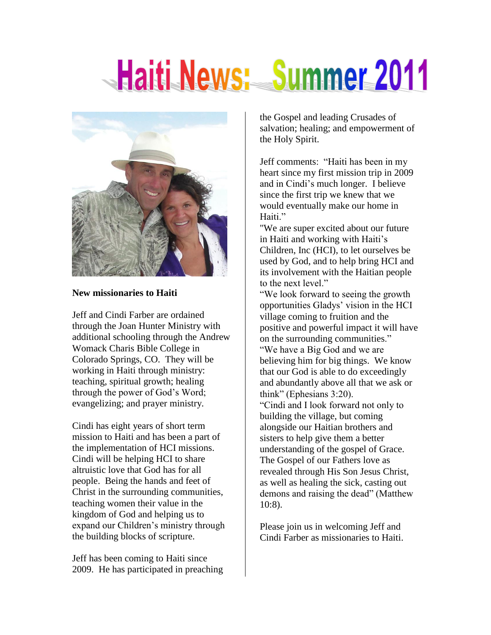# Haiti News: Summer 2011



#### **New missionaries to Haiti**

Jeff and Cindi Farber are ordained through the Joan Hunter Ministry with additional schooling through the Andrew Womack Charis Bible College in Colorado Springs, CO. They will be working in Haiti through ministry: teaching, spiritual growth; healing through the power of God's Word; evangelizing; and prayer ministry.

Cindi has eight years of short term mission to Haiti and has been a part of the implementation of HCI missions. Cindi will be helping HCI to share altruistic love that God has for all people. Being the hands and feet of Christ in the surrounding communities, teaching women their value in the kingdom of God and helping us to expand our Children's ministry through the building blocks of scripture.

Jeff has been coming to Haiti since 2009. He has participated in preaching the Gospel and leading Crusades of salvation; healing; and empowerment of the Holy Spirit.

Jeff comments: "Haiti has been in my heart since my first mission trip in 2009 and in Cindi's much longer. I believe since the first trip we knew that we would eventually make our home in Haiti."

"We are super excited about our future in Haiti and working with Haiti's Children, Inc (HCI), to let ourselves be used by God, and to help bring HCI and its involvement with the Haitian people to the next level."

"We look forward to seeing the growth opportunities Gladys' vision in the HCI village coming to fruition and the positive and powerful impact it will have on the surrounding communities." "We have a Big God and we are believing him for big things. We know

that our God is able to do exceedingly and abundantly above all that we ask or think" (Ephesians 3:20).

"Cindi and I look forward not only to building the village, but coming alongside our Haitian brothers and sisters to help give them a better understanding of the gospel of Grace. The Gospel of our Fathers love as revealed through His Son Jesus Christ, as well as healing the sick, casting out demons and raising the dead" (Matthew 10:8).

Please join us in welcoming Jeff and Cindi Farber as missionaries to Haiti.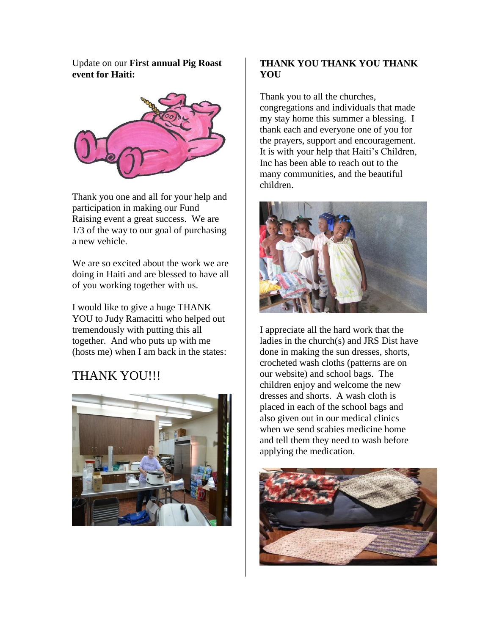Update on our **First annual Pig Roast event for Haiti:**



Thank you one and all for your help and participation in making our Fund Raising event a great success. We are 1/3 of the way to our goal of purchasing a new vehicle.

We are so excited about the work we are doing in Haiti and are blessed to have all of you working together with us.

I would like to give a huge THANK YOU to Judy Ramacitti who helped out tremendously with putting this all together. And who puts up with me (hosts me) when I am back in the states:

# THANK YOU!!!



# **THANK YOU THANK YOU THANK YOU**

Thank you to all the churches, congregations and individuals that made my stay home this summer a blessing. I thank each and everyone one of you for the prayers, support and encouragement. It is with your help that Haiti's Children, Inc has been able to reach out to the many communities, and the beautiful children.



I appreciate all the hard work that the ladies in the church(s) and JRS Dist have done in making the sun dresses, shorts, crocheted wash cloths (patterns are on our website) and school bags. The children enjoy and welcome the new dresses and shorts. A wash cloth is placed in each of the school bags and also given out in our medical clinics when we send scabies medicine home and tell them they need to wash before applying the medication.

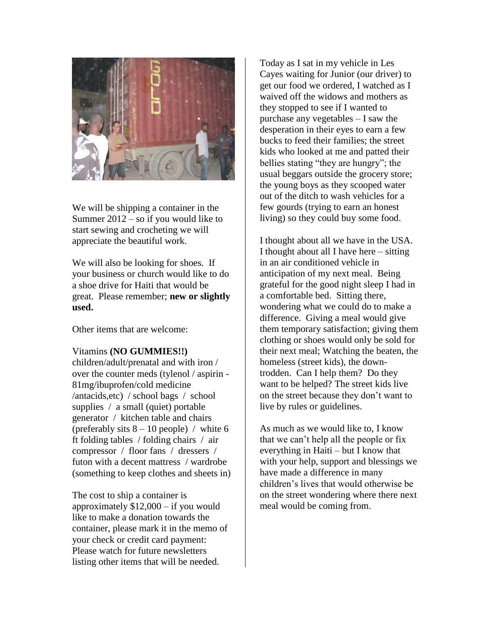

We will be shipping a container in the Summer 2012 – so if you would like to start sewing and crocheting we will appreciate the beautiful work.

We will also be looking for shoes. If your business or church would like to do a shoe drive for Haiti that would be great. Please remember; **new or slightly used.**

Other items that are welcome:

#### Vitamins **(NO GUMMIES!!)**

children/adult/prenatal and with iron / over the counter meds (tylenol / aspirin - 81mg/ibuprofen/cold medicine /antacids,etc) / school bags / school supplies / a small (quiet) portable generator / kitchen table and chairs (preferably sits  $8 - 10$  people) / white 6 ft folding tables / folding chairs / air compressor / floor fans / dressers / futon with a decent mattress / wardrobe (something to keep clothes and sheets in)

The cost to ship a container is approximately \$12,000 – if you would like to make a donation towards the container, please mark it in the memo of your check or credit card payment: Please watch for future newsletters listing other items that will be needed.

Today as I sat in my vehicle in Les Cayes waiting for Junior (our driver) to get our food we ordered, I watched as I waived off the widows and mothers as they stopped to see if I wanted to purchase any vegetables – I saw the desperation in their eyes to earn a few bucks to feed their families; the street kids who looked at me and patted their bellies stating "they are hungry"; the usual beggars outside the grocery store; the young boys as they scooped water out of the ditch to wash vehicles for a few gourds (trying to earn an honest living) so they could buy some food.

I thought about all we have in the USA. I thought about all I have here – sitting in an air conditioned vehicle in anticipation of my next meal. Being grateful for the good night sleep I had in a comfortable bed. Sitting there, wondering what we could do to make a difference. Giving a meal would give them temporary satisfaction; giving them clothing or shoes would only be sold for their next meal; Watching the beaten, the homeless (street kids), the downtrodden. Can I help them? Do they want to be helped? The street kids live on the street because they don't want to live by rules or guidelines.

As much as we would like to, I know that we can't help all the people or fix everything in Haiti – but I know that with your help, support and blessings we have made a difference in many children's lives that would otherwise be on the street wondering where there next meal would be coming from.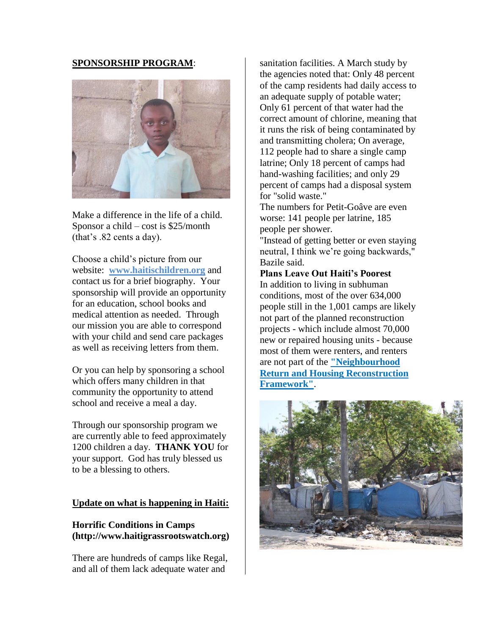#### **SPONSORSHIP PROGRAM**:



Make a difference in the life of a child. Sponsor a child – cost is \$25/month (that's .82 cents a day).

Choose a child's picture from our website: **[www.haitischildren.org](http://www.haitischildren.org/)** and contact us for a brief biography. Your sponsorship will provide an opportunity for an education, school books and medical attention as needed. Through our mission you are able to correspond with your child and send care packages as well as receiving letters from them.

Or you can help by sponsoring a school which offers many children in that community the opportunity to attend school and receive a meal a day.

Through our sponsorship program we are currently able to feed approximately 1200 children a day. **THANK YOU** for your support. God has truly blessed us to be a blessing to others.

#### **Update on what is happening in Haiti:**

#### **Horrific Conditions in Camps (http://www.haitigrassrootswatch.org)**

There are hundreds of camps like Regal, and all of them lack adequate water and

sanitation facilities. A March study by the agencies noted that: Only 48 percent of the camp residents had daily access to an adequate supply of potable water; Only 61 percent of that water had the correct amount of chlorine, meaning that it runs the risk of being contaminated by and transmitting cholera; On average, 112 people had to share a single camp latrine; Only 18 percent of camps had hand-washing facilities; and only 29 percent of camps had a disposal system for "solid waste."

The numbers for Petit-Goâve are even worse: 141 people per latrine, 185 people per shower.

"Instead of getting better or even staying neutral, I think we're going backwards," Bazile said.

## **Plans Leave Out Haiti's Poorest** In addition to living in subhuman conditions, most of the over 634,000 people still in the 1,001 camps are likely not part of the planned reconstruction projects - which include almost 70,000 new or repaired housing units - because most of them were renters, and renters are not part of the **["Neighbourhood](http://ipsnews.net/news.asp?idnews=54472)  [Return and Housing Reconstruction](http://ipsnews.net/news.asp?idnews=54472)  [Framework"](http://ipsnews.net/news.asp?idnews=54472)**.